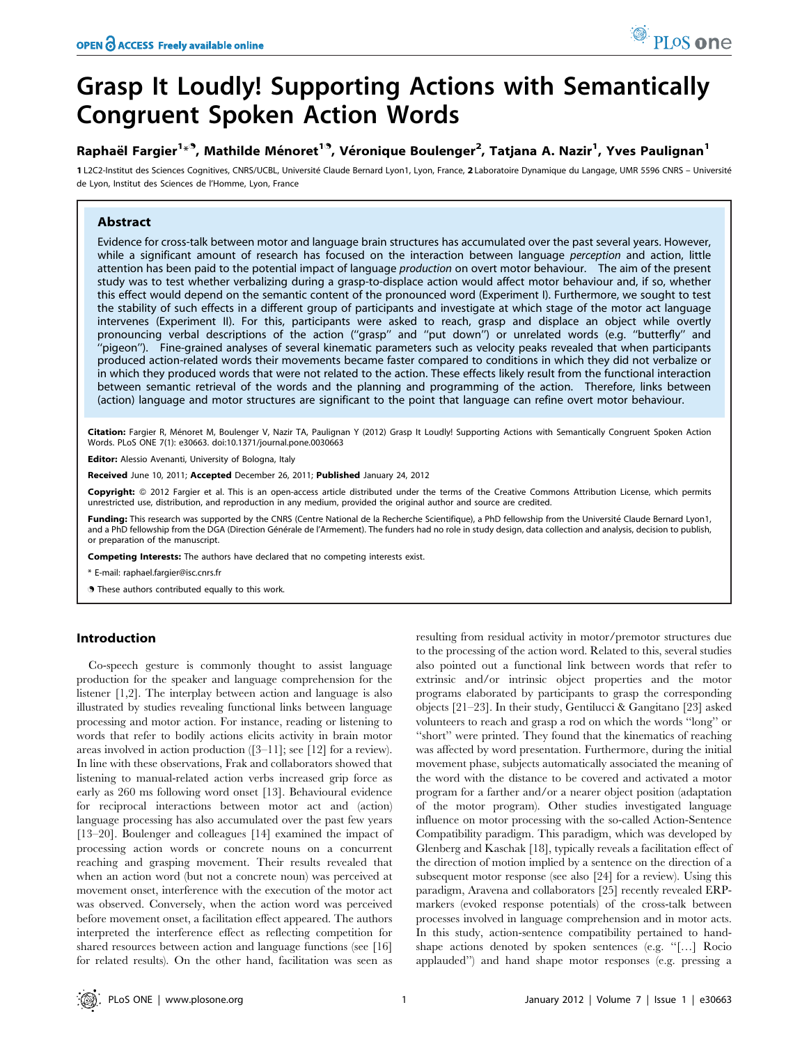# Grasp It Loudly! Supporting Actions with Semantically Congruent Spoken Action Words

## Raphaël Fargier<sup>1</sup>\*<sup>9</sup>, Mathilde Ménoret<sup>19</sup>, Véronique Boulenger<sup>2</sup>, Tatjana A. Nazir<sup>1</sup>, Yves Paulignan<sup>1</sup>

1 L2C2-Institut des Sciences Cognitives, CNRS/UCBL, Université Claude Bernard Lyon1, Lyon, France, 2 Laboratoire Dynamique du Langage, UMR 5596 CNRS – Université de Lyon, Institut des Sciences de l'Homme, Lyon, France

## Abstract

Evidence for cross-talk between motor and language brain structures has accumulated over the past several years. However, while a significant amount of research has focused on the interaction between language perception and action, little attention has been paid to the potential impact of language production on overt motor behaviour. The aim of the present study was to test whether verbalizing during a grasp-to-displace action would affect motor behaviour and, if so, whether this effect would depend on the semantic content of the pronounced word (Experiment I). Furthermore, we sought to test the stability of such effects in a different group of participants and investigate at which stage of the motor act language intervenes (Experiment II). For this, participants were asked to reach, grasp and displace an object while overtly pronouncing verbal descriptions of the action (''grasp'' and ''put down'') or unrelated words (e.g. ''butterfly'' and ''pigeon''). Fine-grained analyses of several kinematic parameters such as velocity peaks revealed that when participants produced action-related words their movements became faster compared to conditions in which they did not verbalize or in which they produced words that were not related to the action. These effects likely result from the functional interaction between semantic retrieval of the words and the planning and programming of the action. Therefore, links between (action) language and motor structures are significant to the point that language can refine overt motor behaviour.

Citation: Fargier R, Ménoret M, Boulenger V, Nazir TA, Paulignan Y (2012) Grasp It Loudly! Supporting Actions with Semantically Congruent Spoken Action Words. PLoS ONE 7(1): e30663. doi:10.1371/journal.pone.0030663

Editor: Alessio Avenanti, University of Bologna, Italy

Received June 10, 2011; Accepted December 26, 2011; Published January 24, 2012

Copyright: © 2012 Fargier et al. This is an open-access article distributed under the terms of the Creative Commons Attribution License, which permits unrestricted use, distribution, and reproduction in any medium, provided the original author and source are credited.

Funding: This research was supported by the CNRS (Centre National de la Recherche Scientifique), a PhD fellowship from the Université Claude Bernard Lyon1, and a PhD fellowship from the DGA (Direction Générale de l'Armement). The funders had no role in study design, data collection and analysis, decision to publish, or preparation of the manuscript.

Competing Interests: The authors have declared that no competing interests exist.

\* E-mail: raphael.fargier@isc.cnrs.fr

**.** These authors contributed equally to this work.

## Introduction

Co-speech gesture is commonly thought to assist language production for the speaker and language comprehension for the listener [1,2]. The interplay between action and language is also illustrated by studies revealing functional links between language processing and motor action. For instance, reading or listening to words that refer to bodily actions elicits activity in brain motor areas involved in action production ([3–11]; see [12] for a review). In line with these observations, Frak and collaborators showed that listening to manual-related action verbs increased grip force as early as 260 ms following word onset [13]. Behavioural evidence for reciprocal interactions between motor act and (action) language processing has also accumulated over the past few years [13–20]. Boulenger and colleagues [14] examined the impact of processing action words or concrete nouns on a concurrent reaching and grasping movement. Their results revealed that when an action word (but not a concrete noun) was perceived at movement onset, interference with the execution of the motor act was observed. Conversely, when the action word was perceived before movement onset, a facilitation effect appeared. The authors interpreted the interference effect as reflecting competition for shared resources between action and language functions (see [16] for related results). On the other hand, facilitation was seen as resulting from residual activity in motor/premotor structures due to the processing of the action word. Related to this, several studies also pointed out a functional link between words that refer to extrinsic and/or intrinsic object properties and the motor programs elaborated by participants to grasp the corresponding objects [21–23]. In their study, Gentilucci & Gangitano [23] asked volunteers to reach and grasp a rod on which the words ''long'' or "short" were printed. They found that the kinematics of reaching was affected by word presentation. Furthermore, during the initial movement phase, subjects automatically associated the meaning of the word with the distance to be covered and activated a motor program for a farther and/or a nearer object position (adaptation of the motor program). Other studies investigated language influence on motor processing with the so-called Action-Sentence Compatibility paradigm. This paradigm, which was developed by Glenberg and Kaschak [18], typically reveals a facilitation effect of the direction of motion implied by a sentence on the direction of a subsequent motor response (see also [24] for a review). Using this paradigm, Aravena and collaborators [25] recently revealed ERPmarkers (evoked response potentials) of the cross-talk between processes involved in language comprehension and in motor acts. In this study, action-sentence compatibility pertained to handshape actions denoted by spoken sentences (e.g. ''[…] Rocio applauded'') and hand shape motor responses (e.g. pressing a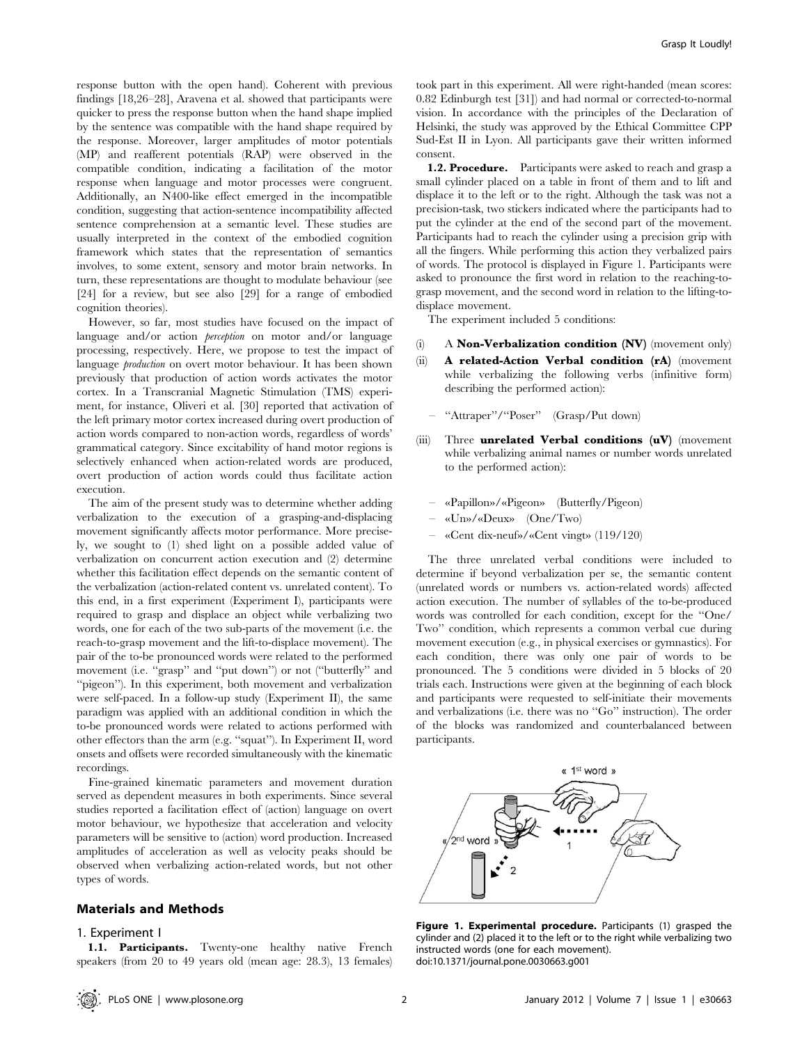response button with the open hand). Coherent with previous findings [18,26–28], Aravena et al. showed that participants were quicker to press the response button when the hand shape implied by the sentence was compatible with the hand shape required by the response. Moreover, larger amplitudes of motor potentials (MP) and reafferent potentials (RAP) were observed in the compatible condition, indicating a facilitation of the motor response when language and motor processes were congruent. Additionally, an N400-like effect emerged in the incompatible condition, suggesting that action-sentence incompatibility affected sentence comprehension at a semantic level. These studies are usually interpreted in the context of the embodied cognition framework which states that the representation of semantics involves, to some extent, sensory and motor brain networks. In turn, these representations are thought to modulate behaviour (see [24] for a review, but see also [29] for a range of embodied cognition theories).

However, so far, most studies have focused on the impact of language and/or action *perception* on motor and/or language processing, respectively. Here, we propose to test the impact of language production on overt motor behaviour. It has been shown previously that production of action words activates the motor cortex. In a Transcranial Magnetic Stimulation (TMS) experiment, for instance, Oliveri et al. [30] reported that activation of the left primary motor cortex increased during overt production of action words compared to non-action words, regardless of words' grammatical category. Since excitability of hand motor regions is selectively enhanced when action-related words are produced, overt production of action words could thus facilitate action execution.

The aim of the present study was to determine whether adding verbalization to the execution of a grasping-and-displacing movement significantly affects motor performance. More precisely, we sought to (1) shed light on a possible added value of verbalization on concurrent action execution and (2) determine whether this facilitation effect depends on the semantic content of the verbalization (action-related content vs. unrelated content). To this end, in a first experiment (Experiment I), participants were required to grasp and displace an object while verbalizing two words, one for each of the two sub-parts of the movement (i.e. the reach-to-grasp movement and the lift-to-displace movement). The pair of the to-be pronounced words were related to the performed movement (i.e. "grasp" and "put down") or not ("butterfly" and ''pigeon''). In this experiment, both movement and verbalization were self-paced. In a follow-up study (Experiment II), the same paradigm was applied with an additional condition in which the to-be pronounced words were related to actions performed with other effectors than the arm (e.g. ''squat''). In Experiment II, word onsets and offsets were recorded simultaneously with the kinematic recordings.

Fine-grained kinematic parameters and movement duration served as dependent measures in both experiments. Since several studies reported a facilitation effect of (action) language on overt motor behaviour, we hypothesize that acceleration and velocity parameters will be sensitive to (action) word production. Increased amplitudes of acceleration as well as velocity peaks should be observed when verbalizing action-related words, but not other types of words.

## Materials and Methods

#### 1. Experiment I

1.1. Participants. Twenty-one healthy native French speakers (from 20 to 49 years old (mean age: 28.3), 13 females)

took part in this experiment. All were right-handed (mean scores: 0.82 Edinburgh test [31]) and had normal or corrected-to-normal vision. In accordance with the principles of the Declaration of Helsinki, the study was approved by the Ethical Committee CPP Sud-Est II in Lyon. All participants gave their written informed consent.

1.2. Procedure. Participants were asked to reach and grasp a small cylinder placed on a table in front of them and to lift and displace it to the left or to the right. Although the task was not a precision-task, two stickers indicated where the participants had to put the cylinder at the end of the second part of the movement. Participants had to reach the cylinder using a precision grip with all the fingers. While performing this action they verbalized pairs of words. The protocol is displayed in Figure 1. Participants were asked to pronounce the first word in relation to the reaching-tograsp movement, and the second word in relation to the lifting-todisplace movement.

The experiment included 5 conditions:

- (i) A **Non-Verbalization condition (NV)** (movement only)
- (ii) A related-Action Verbal condition (rA) (movement while verbalizing the following verbs (infinitive form) describing the performed action):
	- "Attraper"/"Poser" (Grasp/Put down)
- (iii) Three unrelated Verbal conditions (uV) (movement while verbalizing animal names or number words unrelated to the performed action):
	- «Papillon»/«Pigeon» (Butterfly/Pigeon)
	- «Un»/«Deux» (One/Two)
	- «Cent dix-neuf»/«Cent vingt» (119/120)

The three unrelated verbal conditions were included to determine if beyond verbalization per se, the semantic content (unrelated words or numbers vs. action-related words) affected action execution. The number of syllables of the to-be-produced words was controlled for each condition, except for the ''One/ Two'' condition, which represents a common verbal cue during movement execution (e.g., in physical exercises or gymnastics). For each condition, there was only one pair of words to be pronounced. The 5 conditions were divided in 5 blocks of 20 trials each. Instructions were given at the beginning of each block and participants were requested to self-initiate their movements and verbalizations (i.e. there was no ''Go'' instruction). The order of the blocks was randomized and counterbalanced between participants.



Figure 1. Experimental procedure. Participants (1) grasped the cylinder and (2) placed it to the left or to the right while verbalizing two instructed words (one for each movement). doi:10.1371/journal.pone.0030663.g001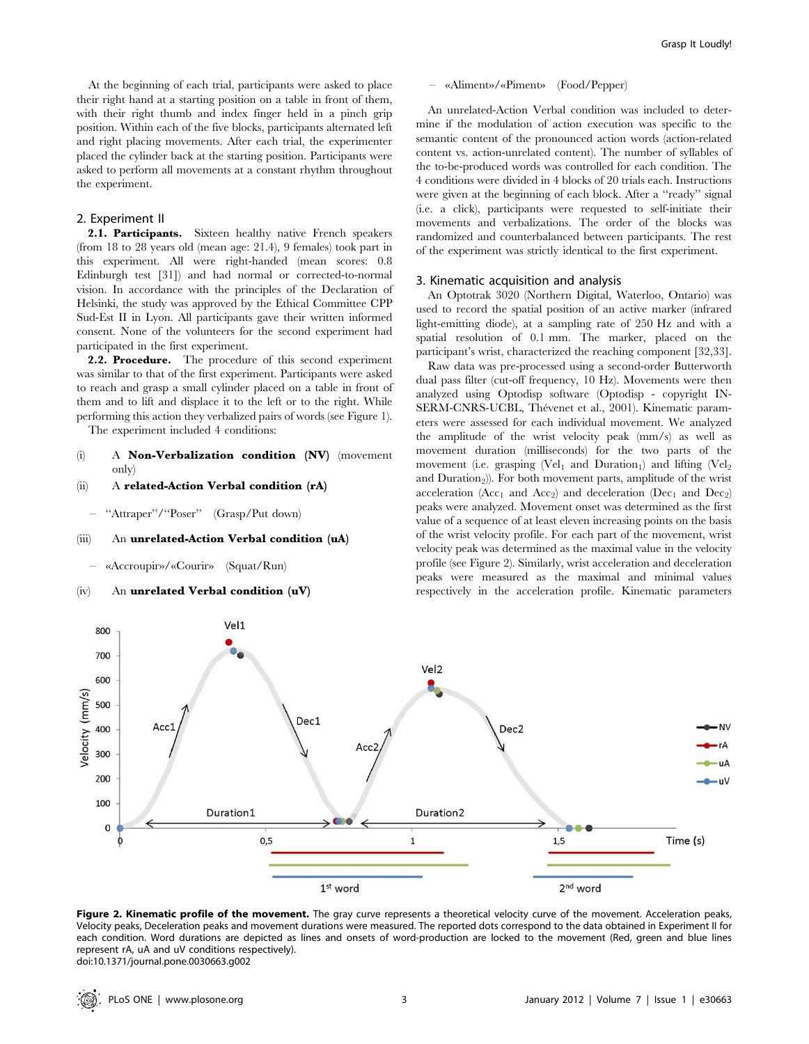At the beginning of each trial, participants were asked to place their right hand at a starting position on a table in front of them, with their right thumb and index finger held in a pinch grip position. Within each of the five blocks, participants alternated left and right placing movements. After each trial, the experimenter placed the cylinder back at the starting position. Participants were asked to perform all movements at a constant rhythm throughout the experiment.

#### 2. Experiment II

2.1. Participants. Sixteen healthy native French speakers (from 18 to 28 years old (mean age: 21.4), 9 females) took part in this experiment. All were right-handed (mean scores: 0.8 Edinburgh test [31]) and had normal or corrected-to-normal vision. In accordance with the principles of the Declaration of Helsinki, the study was approved by the Ethical Committee CPP Sud-Est II in Lyon. All participants gave their written informed consent. None of the volunteers for the second experiment had participated in the first experiment.

2.2. Procedure. The procedure of this second experiment was similar to that of the first experiment. Participants were asked to reach and grasp a small cylinder placed on a table in front of them and to lift and displace it to the left or to the right. While performing this action they verbalized pairs of words (see Figure 1).

The experiment included 4 conditions:

- (i) A Non-Verbalization condition (NV) (movement only)
- (ii) A related-Action Verbal condition (rA)
	- "Attraper"/"Poser" (Grasp/Put down)

## (iii) An unrelated-Action Verbal condition (uA)

– «Accroupir»/«Courir» (Squat/Run)

## (iv) An unrelated Verbal condition (uV)

#### – «Aliment»/«Piment» (Food/Pepper)

An unrelated-Action Verbal condition was included to determine if the modulation of action execution was specific to the semantic content of the pronounced action words (action-related content vs. action-unrelated content). The number of syllables of the to-be-produced words was controlled for each condition. The 4 conditions were divided in 4 blocks of 20 trials each. Instructions were given at the beginning of each block. After a ''ready'' signal (i.e. a click), participants were requested to self-initiate their movements and verbalizations. The order of the blocks was randomized and counterbalanced between participants. The rest of the experiment was strictly identical to the first experiment.

#### 3. Kinematic acquisition and analysis

An Optotrak 3020 (Northern Digital, Waterloo, Ontario) was used to record the spatial position of an active marker (infrared light-emitting diode), at a sampling rate of 250 Hz and with a spatial resolution of 0.1 mm. The marker, placed on the participant's wrist, characterized the reaching component [32,33].

Raw data was pre-processed using a second-order Butterworth dual pass filter (cut-off frequency, 10 Hz). Movements were then analyzed using Optodisp software (Optodisp - copyright IN-SERM-CNRS-UCBL, Thévenet et al., 2001). Kinematic parameters were assessed for each individual movement. We analyzed the amplitude of the wrist velocity peak (mm/s) as well as movement duration (milliseconds) for the two parts of the movement (i.e. grasping  $(Vel_1$  and Duration<sub>1</sub>) and lifting  $(Vel_2)$ and Duration<sub>2</sub>)). For both movement parts, amplitude of the wrist acceleration (Acc<sub>1</sub> and Acc<sub>2</sub>) and deceleration (Dec<sub>1</sub> and Dec<sub>2</sub>) peaks were analyzed. Movement onset was determined as the first value of a sequence of at least eleven increasing points on the basis of the wrist velocity profile. For each part of the movement, wrist velocity peak was determined as the maximal value in the velocity profile (see Figure 2). Similarly, wrist acceleration and deceleration peaks were measured as the maximal and minimal values respectively in the acceleration profile. Kinematic parameters



Figure 2. Kinematic profile of the movement. The gray curve represents a theoretical velocity curve of the movement. Acceleration peaks, Velocity peaks, Deceleration peaks and movement durations were measured. The reported dots correspond to the data obtained in Experiment II for each condition. Word durations are depicted as lines and onsets of word-production are locked to the movement (Red, green and blue lines represent rA, uA and uV conditions respectively). doi:10.1371/journal.pone.0030663.g002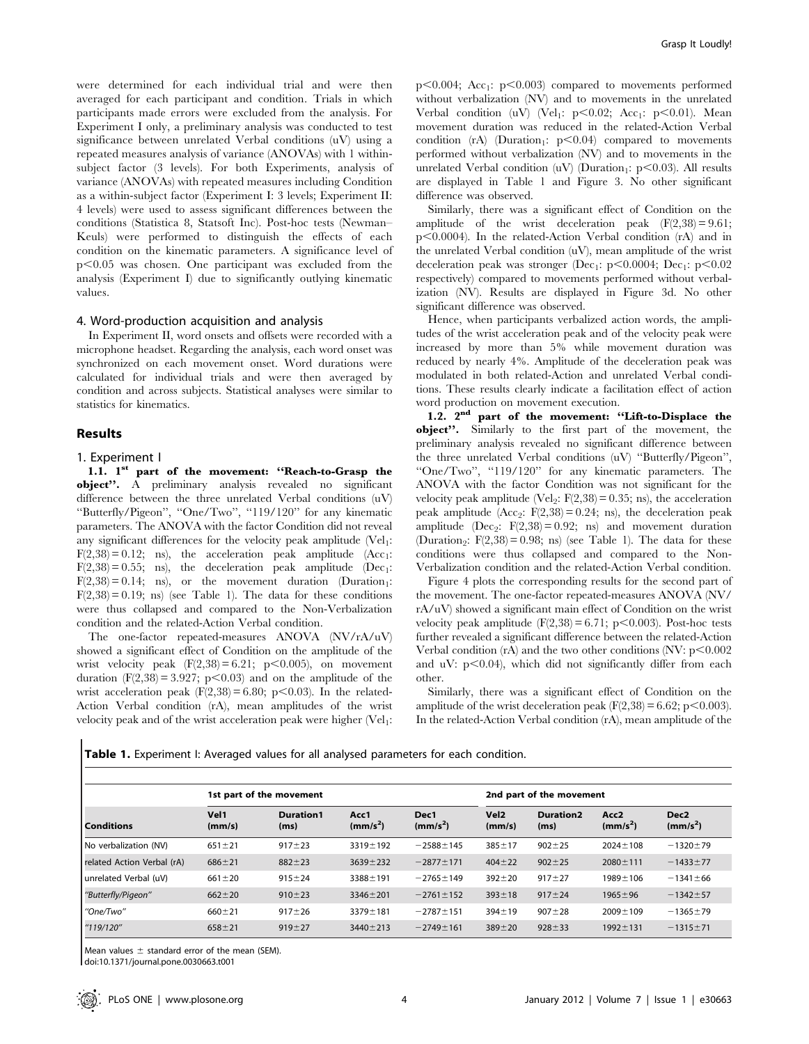Grasp It Loudly!

were determined for each individual trial and were then averaged for each participant and condition. Trials in which participants made errors were excluded from the analysis. For Experiment I only, a preliminary analysis was conducted to test significance between unrelated Verbal conditions (uV) using a repeated measures analysis of variance (ANOVAs) with 1 withinsubject factor (3 levels). For both Experiments, analysis of variance (ANOVAs) with repeated measures including Condition as a within-subject factor (Experiment I: 3 levels; Experiment II: 4 levels) were used to assess significant differences between the conditions (Statistica 8, Statsoft Inc). Post-hoc tests (Newman– Keuls) were performed to distinguish the effects of each condition on the kinematic parameters. A significance level of  $p<0.05$  was chosen. One participant was excluded from the analysis (Experiment I) due to significantly outlying kinematic values.

#### 4. Word-production acquisition and analysis

In Experiment II, word onsets and offsets were recorded with a microphone headset. Regarding the analysis, each word onset was synchronized on each movement onset. Word durations were calculated for individual trials and were then averaged by condition and across subjects. Statistical analyses were similar to statistics for kinematics.

#### Results

#### 1. Experiment I

1.1. 1<sup>st</sup> part of the movement: "Reach-to-Grasp the object''. A preliminary analysis revealed no significant difference between the three unrelated Verbal conditions  $(uV)$ ''Butterfly/Pigeon'', ''One/Two'', ''119/120'' for any kinematic parameters. The ANOVA with the factor Condition did not reveal any significant differences for the velocity peak amplitude  $(Vel<sub>1</sub>:$  $F(2,38) = 0.12$ ; ns), the acceleration peak amplitude (Acc<sub>1</sub>:  $F(2,38) = 0.55$ ; ns), the deceleration peak amplitude (Dec<sub>1</sub>:  $F(2,38) = 0.14$ ; ns), or the movement duration (Duration<sub>1</sub>:  $F(2,38) = 0.19$ ; ns) (see Table 1). The data for these conditions were thus collapsed and compared to the Non-Verbalization condition and the related-Action Verbal condition.

The one-factor repeated-measures ANOVA (NV/rA/uV) showed a significant effect of Condition on the amplitude of the wrist velocity peak  $(F(2,38) = 6.21; p<0.005)$ , on movement duration  $(F(2,38) = 3.927; p<0.03)$  and on the amplitude of the wrist acceleration peak  $(F(2,38) = 6.80; p<0.03)$ . In the related-Action Verbal condition (rA), mean amplitudes of the wrist velocity peak and of the wrist acceleration peak were higher (Vel<sub>1</sub>:  $p<0.004$ ; Acc<sub>1</sub>:  $p<0.003$ ) compared to movements performed without verbalization (NV) and to movements in the unrelated Verbal condition (uV) (Vel<sub>1</sub>:  $p<0.02$ ; Acc<sub>1</sub>:  $p<0.01$ ). Mean movement duration was reduced in the related-Action Verbal condition (rA) (Duration<sub>1</sub>:  $p<0.04$ ) compared to movements performed without verbalization (NV) and to movements in the unrelated Verbal condition (uV) (Duration<sub>1</sub>: p<0.03). All results are displayed in Table 1 and Figure 3. No other significant difference was observed.

Similarly, there was a significant effect of Condition on the amplitude of the wrist deceleration peak  $(F(2,38) = 9.61;$  $p<0.0004$ ). In the related-Action Verbal condition (rA) and in the unrelated Verbal condition (uV), mean amplitude of the wrist deceleration peak was stronger (Dec<sub>1</sub>: p $\leq 0.0004$ ; Dec<sub>1</sub>: p $\leq 0.02$ respectively) compared to movements performed without verbalization (NV). Results are displayed in Figure 3d. No other significant difference was observed.

Hence, when participants verbalized action words, the amplitudes of the wrist acceleration peak and of the velocity peak were increased by more than 5% while movement duration was reduced by nearly 4%. Amplitude of the deceleration peak was modulated in both related-Action and unrelated Verbal conditions. These results clearly indicate a facilitation effect of action word production on movement execution.

1.2. 2nd part of the movement: ''Lift-to-Displace the object''. Similarly to the first part of the movement, the preliminary analysis revealed no significant difference between the three unrelated Verbal conditions (uV) ''Butterfly/Pigeon'', ''One/Two'', ''119/120'' for any kinematic parameters. The ANOVA with the factor Condition was not significant for the velocity peak amplitude (Vel<sub>2</sub>:  $F(2,38) = 0.35$ ; ns), the acceleration peak amplitude  $(Acc_2: F(2,38) = 0.24; ns)$ , the deceleration peak amplitude (Dec<sub>2</sub>:  $F(2,38) = 0.92$ ; ns) and movement duration (Duration<sub>2</sub>:  $F(2,38) = 0.98$ ; ns) (see Table 1). The data for these conditions were thus collapsed and compared to the Non-Verbalization condition and the related-Action Verbal condition.

Figure 4 plots the corresponding results for the second part of the movement. The one-factor repeated-measures ANOVA (NV/ rA/uV) showed a significant main effect of Condition on the wrist velocity peak amplitude  $(F(2,38) = 6.71; p<0.003)$ . Post-hoc tests further revealed a significant difference between the related-Action Verbal condition  $(rA)$  and the two other conditions  $(NV: p<0.002)$ and uV:  $p<0.04$ ), which did not significantly differ from each other.

Similarly, there was a significant effect of Condition on the amplitude of the wrist deceleration peak  $(F(2,38) = 6.62; p<0.003)$ . In the related-Action Verbal condition (rA), mean amplitude of the

Table 1. Experiment I: Averaged values for all analysed parameters for each condition.

| <b>Conditions</b>          |                | 1st part of the movement | 2nd part of the movement     |                              |                            |                          |                              |                                          |
|----------------------------|----------------|--------------------------|------------------------------|------------------------------|----------------------------|--------------------------|------------------------------|------------------------------------------|
|                            | Vel1<br>(mm/s) | <b>Duration1</b><br>(ms) | Acc1<br>(mm/s <sup>2</sup> ) | Dec1<br>(mm/s <sup>2</sup> ) | Vel <sub>2</sub><br>(mm/s) | <b>Duration2</b><br>(ms) | Acc2<br>(mm/s <sup>2</sup> ) | Dec <sub>2</sub><br>(mm/s <sup>2</sup> ) |
| No verbalization (NV)      | $651 \pm 21$   | $917 + 23$               | $3319 \pm 192$               | $-2588 \pm 145$              | $385 \pm 17$               | $902 + 25$               | $2024 \pm 108$               | $-1320 \pm 79$                           |
| related Action Verbal (rA) | $686 + 21$     | $882 + 23$               | $3639 + 232$                 | $-2877 \pm 171$              | $404 \pm 22$               | $902 \pm 25$             | $2080 \pm 111$               | $-1433 \pm 77$                           |
| unrelated Verbal (uV)      | $661 \pm 20$   | $915 \pm 24$             | $3388 \pm 191$               | $-2765 \pm 149$              | $392 + 20$                 | $917 + 27$               | $1989 \pm 106$               | $-1341 \pm 66$                           |
| "Butterfly/Pigeon"         | $662 + 20$     | $910 \pm 23$             | $3346 \pm 201$               | $-2761 \pm 152$              | $393 \pm 18$               | $917 + 24$               | $1965 \pm 96$                | $-1342 + 57$                             |
| "One/Two"                  | $660 + 21$     | $917 + 26$               | $3379 \pm 181$               | $-2787 + 151$                | $394 \pm 19$               | $907 + 28$               | $2009 \pm 109$               | $-1365 \pm 79$                           |
| "119/120"                  | $658 + 21$     | $919 + 27$               | $3440 \pm 213$               | $-2749 \pm 161$              | $389 + 20$                 | $928 + 33$               | $1992 \pm 131$               | $-1315+71$                               |

Mean values  $\pm$  standard error of the mean (SEM).

doi:10.1371/journal.pone.0030663.t001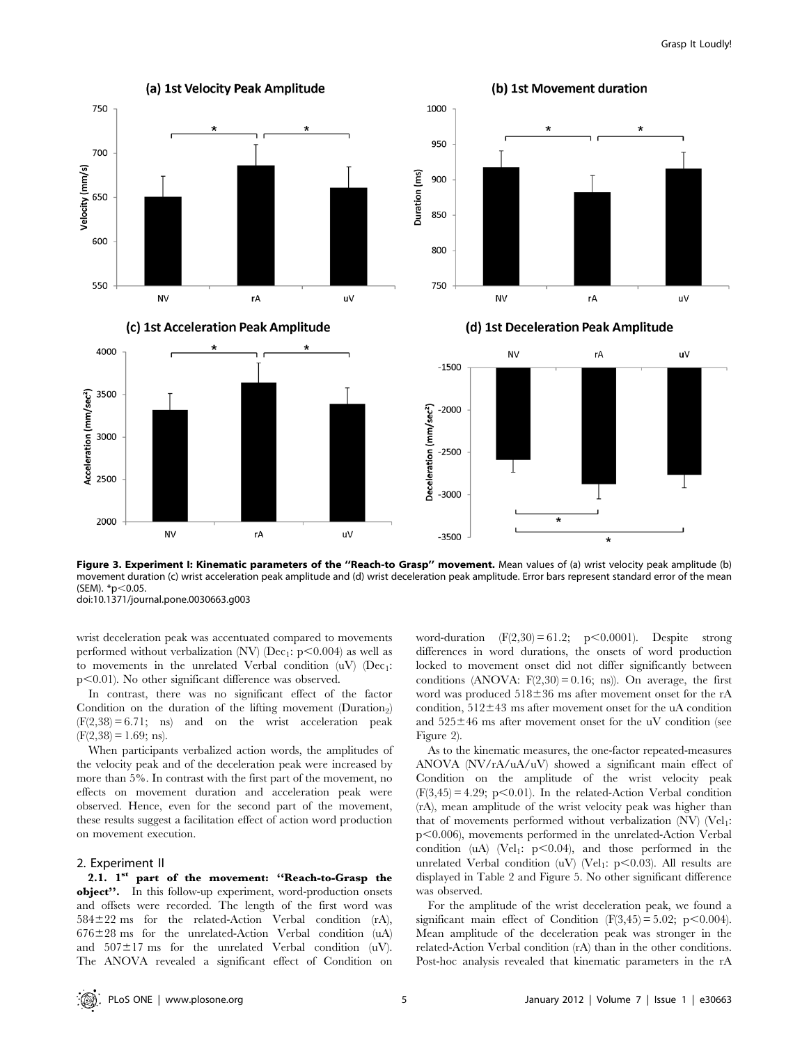

Figure 3. Experiment I: Kinematic parameters of the "Reach-to Grasp" movement. Mean values of (a) wrist velocity peak amplitude (b) movement duration (c) wrist acceleration peak amplitude and (d) wrist deceleration peak amplitude. Error bars represent standard error of the mean (SEM).  $*$ p $<$ 0.05.

doi:10.1371/journal.pone.0030663.g003

wrist deceleration peak was accentuated compared to movements performed without verbalization (NV) (Dec<sub>1</sub>:  $p<0.004$ ) as well as to movements in the unrelated Verbal condition  $(uV)$  (Dec<sub>1</sub>: p<0.01). No other significant difference was observed.

In contrast, there was no significant effect of the factor Condition on the duration of the lifting movement (Duration<sub>2</sub>)  $(F(2,38) = 6.71;$  ns) and on the wrist acceleration peak  $(F(2,38) = 1.69; \text{ns}).$ 

When participants verbalized action words, the amplitudes of the velocity peak and of the deceleration peak were increased by more than 5%. In contrast with the first part of the movement, no effects on movement duration and acceleration peak were observed. Hence, even for the second part of the movement, these results suggest a facilitation effect of action word production on movement execution.

## 2. Experiment II

2.1. 1st part of the movement: "Reach-to-Grasp the object''. In this follow-up experiment, word-production onsets and offsets were recorded. The length of the first word was  $584\pm22$  ms for the related-Action Verbal condition (rA),  $676\pm28$  ms for the unrelated-Action Verbal condition (uA) and  $507\pm17$  ms for the unrelated Verbal condition (uV). The ANOVA revealed a significant effect of Condition on word-duration  $(F(2,30) = 61.2; p<0.0001)$ . Despite strong differences in word durations, the onsets of word production locked to movement onset did not differ significantly between conditions (ANOVA:  $F(2,30) = 0.16$ ; ns)). On average, the first word was produced  $518\pm36$  ms after movement onset for the rA condition,  $512\pm43$  ms after movement onset for the uA condition and  $525\pm46$  ms after movement onset for the uV condition (see Figure 2).

As to the kinematic measures, the one-factor repeated-measures ANOVA (NV/rA/uA/uV) showed a significant main effect of Condition on the amplitude of the wrist velocity peak  $(F(3,45) = 4.29; p<0.01)$ . In the related-Action Verbal condition (rA), mean amplitude of the wrist velocity peak was higher than that of movements performed without verbalization  $(NV)$   $(Vel<sub>1</sub>:$  $p<0.006$ ), movements performed in the unrelated-Action Verbal condition (uA) (Vel<sub>1</sub>:  $p<0.04$ ), and those performed in the unrelated Verbal condition  $(uV)$  (Vel<sub>1</sub>:  $p<0.03$ ). All results are displayed in Table 2 and Figure 5. No other significant difference was observed.

For the amplitude of the wrist deceleration peak, we found a significant main effect of Condition  $(F(3,45) = 5.02; p < 0.004)$ . Mean amplitude of the deceleration peak was stronger in the related-Action Verbal condition (rA) than in the other conditions. Post-hoc analysis revealed that kinematic parameters in the rA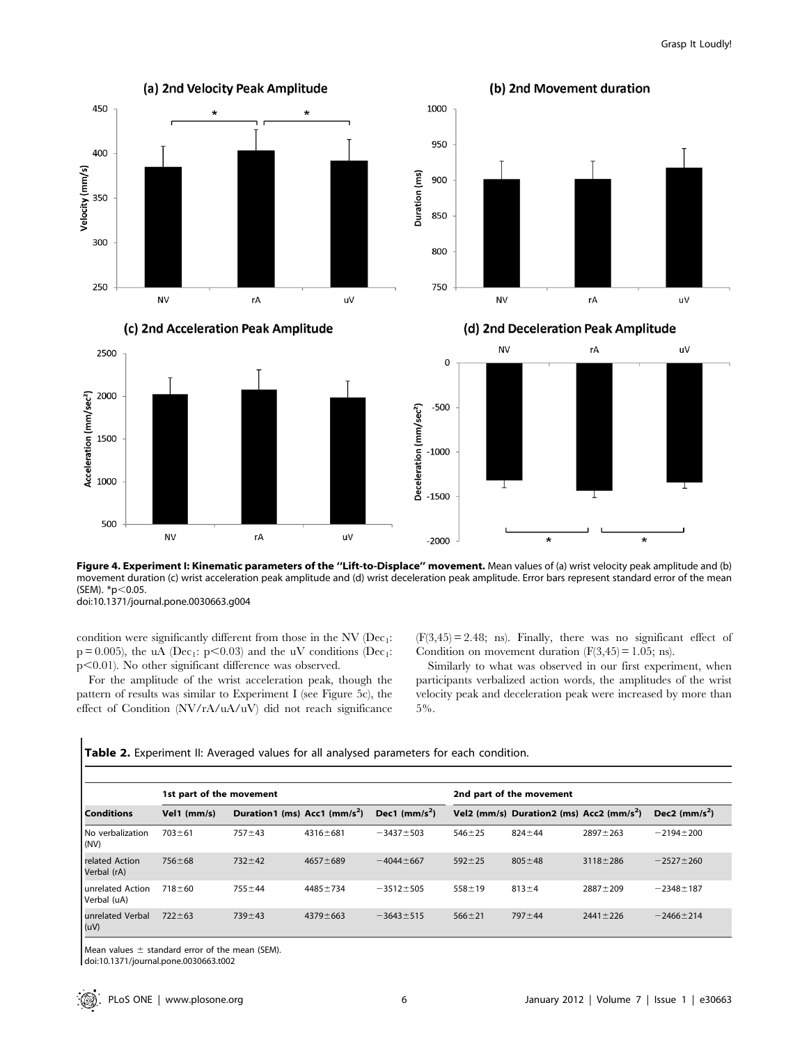

Figure 4. Experiment I: Kinematic parameters of the "Lift-to-Displace" movement. Mean values of (a) wrist velocity peak amplitude and (b) movement duration (c) wrist acceleration peak amplitude and (d) wrist deceleration peak amplitude. Error bars represent standard error of the mean (SEM). \*p<0.05. doi:10.1371/journal.pone.0030663.g004

condition were significantly different from those in the NV ( $Dec_1$ :  $p = 0.005$ ), the uA (Dec<sub>1</sub>:  $p < 0.03$ ) and the uV conditions (Dec<sub>1</sub>:  $p<0.01$ ). No other significant difference was observed.

For the amplitude of the wrist acceleration peak, though the pattern of results was similar to Experiment I (see Figure 5c), the effect of Condition (NV/rA/uA/uV) did not reach significance  $(F(3, 45) = 2.48;$  ns). Finally, there was no significant effect of Condition on movement duration  $(F(3, 45) = 1.05; \text{ns})$ .

Similarly to what was observed in our first experiment, when participants verbalized action words, the amplitudes of the wrist velocity peak and deceleration peak were increased by more than 5%.

|                                 | 1st part of the movement |                                            |                |                 | 2nd part of the movement |                                                      |                |                 |  |  |  |  |
|---------------------------------|--------------------------|--------------------------------------------|----------------|-----------------|--------------------------|------------------------------------------------------|----------------|-----------------|--|--|--|--|
| <b>Conditions</b>               | Vel1 (mm/s)              | Duration1 (ms) $Acc1$ (mm/s <sup>2</sup> ) |                | Dec1 $(mm/s^2)$ |                          | Vel2 (mm/s) Duration2 (ms) Acc2 (mm/s <sup>2</sup> ) |                | Dec2 $(mm/s^2)$ |  |  |  |  |
| No verbalization<br>(NV)        | $703 + 61$               | $757 + 43$                                 | $4316 \pm 681$ | $-3437 \pm 503$ | $546 + 25$               | $824 + 44$                                           | $2897 + 263$   | $-2194 + 200$   |  |  |  |  |
| related Action<br>Verbal (rA)   | $756 \pm 68$             | $732 + 42$                                 | $4657 + 689$   | $-4044 + 667$   | $592 + 25$               | $805 \pm 48$                                         | $3118 + 286$   | $-2527 \pm 260$ |  |  |  |  |
| unrelated Action<br>Verbal (uA) | $718 + 60$               | $755 + 44$                                 | $4485 + 734$   | $-3512 \pm 505$ | $558 \pm 19$             | $813 + 4$                                            | $2887 + 209$   | $-2348 \pm 187$ |  |  |  |  |
| unrelated Verbal<br>(uV)        | $722 \pm 63$             | $739 + 43$                                 | $4379 \pm 663$ | $-3643 \pm 515$ | $566 \pm 21$             | $797 + 44$                                           | $2441 \pm 226$ | $-2466 \pm 214$ |  |  |  |  |

Table 2. Experiment II: Averaged values for all analysed parameters for each condition.

Mean values  $\pm$  standard error of the mean (SEM).

doi:10.1371/journal.pone.0030663.t002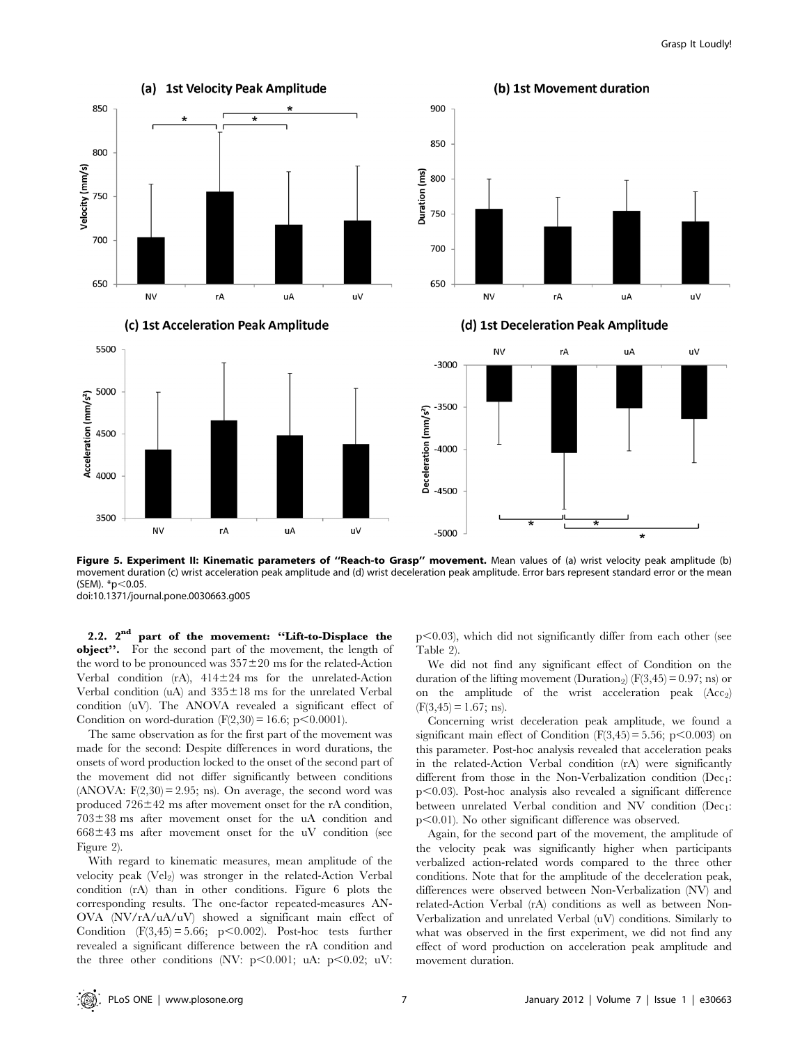

Figure 5. Experiment II: Kinematic parameters of "Reach-to Grasp" movement. Mean values of (a) wrist velocity peak amplitude (b) movement duration (c) wrist acceleration peak amplitude and (d) wrist deceleration peak amplitude. Error bars represent standard error or the mean (SEM).  $*$ p $<$ 0.05. doi:10.1371/journal.pone.0030663.g005

2.2. 2nd part of the movement: ''Lift-to-Displace the object''. For the second part of the movement, the length of the word to be pronounced was  $357\pm20$  ms for the related-Action Verbal condition (rA),  $414 \pm 24$  ms for the unrelated-Action Verbal condition (uA) and  $335 \pm 18$  ms for the unrelated Verbal condition (uV). The ANOVA revealed a significant effect of Condition on word-duration  $(F(2,30) = 16.6; p < 0.0001)$ .

The same observation as for the first part of the movement was made for the second: Despite differences in word durations, the onsets of word production locked to the onset of the second part of the movement did not differ significantly between conditions (ANOVA:  $F(2,30) = 2.95$ ; ns). On average, the second word was produced  $726 \pm 42$  ms after movement onset for the rA condition,  $703\pm38$  ms after movement onset for the uA condition and  $668\pm43$  ms after movement onset for the uV condition (see Figure 2).

With regard to kinematic measures, mean amplitude of the velocity peak  $(Vel_2)$  was stronger in the related-Action Verbal condition (rA) than in other conditions. Figure 6 plots the corresponding results. The one-factor repeated-measures AN-OVA (NV/rA/uA/uV) showed a significant main effect of Condition  $(F(3,45) = 5.66; p < 0.002)$ . Post-hoc tests further revealed a significant difference between the rA condition and the three other conditions (NV:  $p<0.001$ ; uA:  $p<0.02$ ; uV:  $p<0.03$ ), which did not significantly differ from each other (see Table 2).

We did not find any significant effect of Condition on the duration of the lifting movement (Duration<sub>2</sub>) ( $F(3,45) = 0.97$ ; ns) or on the amplitude of the wrist acceleration peak  $(Acc<sub>2</sub>)$  $(F(3, 45) = 1.67; \text{ns}).$ 

Concerning wrist deceleration peak amplitude, we found a significant main effect of Condition ( $F(3,45) = 5.56$ ; p<0.003) on this parameter. Post-hoc analysis revealed that acceleration peaks in the related-Action Verbal condition (rA) were significantly different from those in the Non-Verbalization condition  $(Dec<sub>1</sub>:$  $p<0.03$ ). Post-hoc analysis also revealed a significant difference between unrelated Verbal condition and NV condition  $(Dec_1$ :  $p<0.01$ ). No other significant difference was observed.

Again, for the second part of the movement, the amplitude of the velocity peak was significantly higher when participants verbalized action-related words compared to the three other conditions. Note that for the amplitude of the deceleration peak, differences were observed between Non-Verbalization (NV) and related-Action Verbal (rA) conditions as well as between Non-Verbalization and unrelated Verbal (uV) conditions. Similarly to what was observed in the first experiment, we did not find any effect of word production on acceleration peak amplitude and movement duration.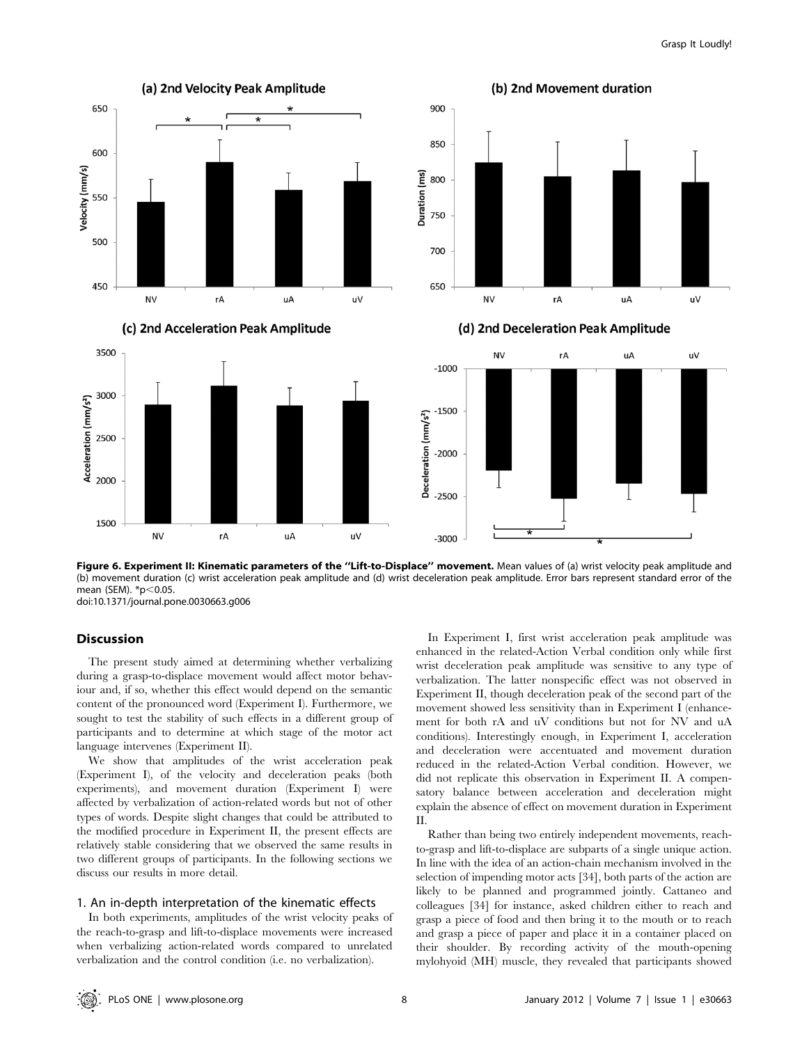

Figure 6. Experiment II: Kinematic parameters of the "Lift-to-Displace" movement. Mean values of (a) wrist velocity peak amplitude and (b) movement duration (c) wrist acceleration peak amplitude and (d) wrist deceleration peak amplitude. Error bars represent standard error of the mean (SEM).  $*$ p $<$ 0.05. doi:10.1371/journal.pone.0030663.g006

## Discussion

The present study aimed at determining whether verbalizing during a grasp-to-displace movement would affect motor behaviour and, if so, whether this effect would depend on the semantic content of the pronounced word (Experiment I). Furthermore, we sought to test the stability of such effects in a different group of participants and to determine at which stage of the motor act language intervenes (Experiment II).

We show that amplitudes of the wrist acceleration peak (Experiment I), of the velocity and deceleration peaks (both experiments), and movement duration (Experiment I) were affected by verbalization of action-related words but not of other types of words. Despite slight changes that could be attributed to the modified procedure in Experiment II, the present effects are relatively stable considering that we observed the same results in two different groups of participants. In the following sections we discuss our results in more detail.

#### 1. An in-depth interpretation of the kinematic effects

In both experiments, amplitudes of the wrist velocity peaks of the reach-to-grasp and lift-to-displace movements were increased when verbalizing action-related words compared to unrelated verbalization and the control condition (i.e. no verbalization).

In Experiment I, first wrist acceleration peak amplitude was enhanced in the related-Action Verbal condition only while first wrist deceleration peak amplitude was sensitive to any type of verbalization. The latter nonspecific effect was not observed in Experiment II, though deceleration peak of the second part of the movement showed less sensitivity than in Experiment I (enhancement for both rA and uV conditions but not for NV and uA conditions). Interestingly enough, in Experiment I, acceleration and deceleration were accentuated and movement duration reduced in the related-Action Verbal condition. However, we did not replicate this observation in Experiment II. A compensatory balance between acceleration and deceleration might explain the absence of effect on movement duration in Experiment II.

Rather than being two entirely independent movements, reachto-grasp and lift-to-displace are subparts of a single unique action. In line with the idea of an action-chain mechanism involved in the selection of impending motor acts [34], both parts of the action are likely to be planned and programmed jointly. Cattaneo and colleagues [34] for instance, asked children either to reach and grasp a piece of food and then bring it to the mouth or to reach and grasp a piece of paper and place it in a container placed on their shoulder. By recording activity of the mouth-opening mylohyoid (MH) muscle, they revealed that participants showed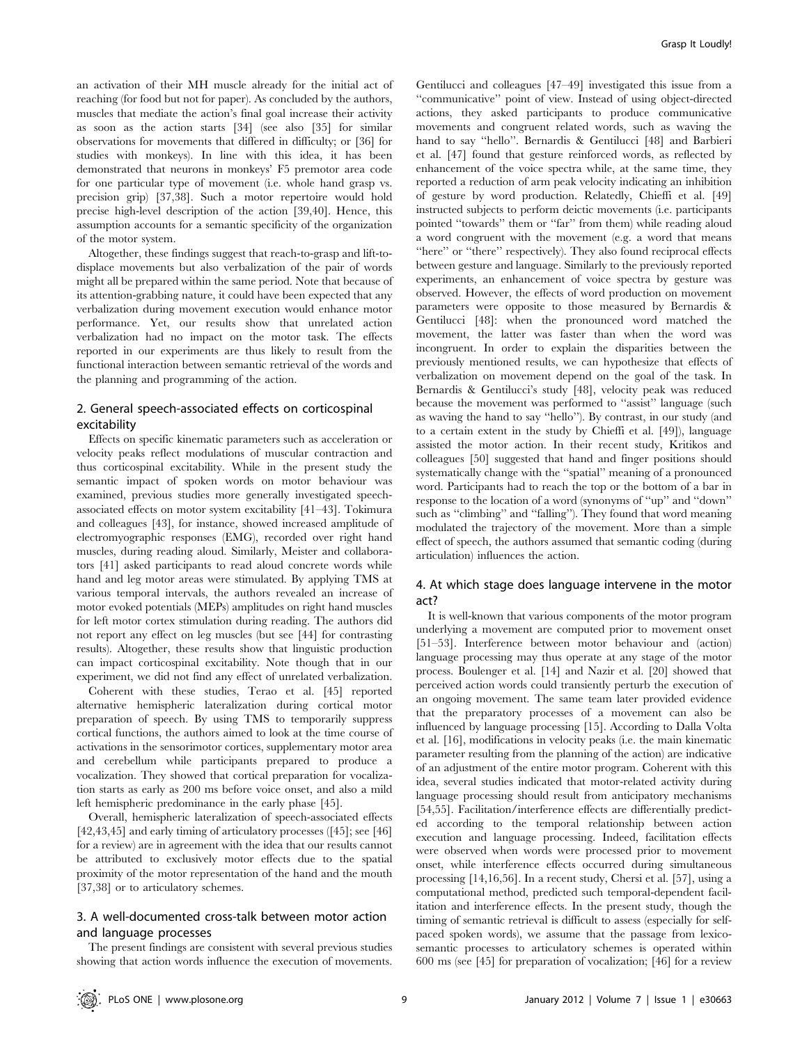an activation of their MH muscle already for the initial act of reaching (for food but not for paper). As concluded by the authors, muscles that mediate the action's final goal increase their activity as soon as the action starts [34] (see also [35] for similar observations for movements that differed in difficulty; or [36] for studies with monkeys). In line with this idea, it has been demonstrated that neurons in monkeys' F5 premotor area code for one particular type of movement (i.e. whole hand grasp vs. precision grip) [37,38]. Such a motor repertoire would hold precise high-level description of the action [39,40]. Hence, this assumption accounts for a semantic specificity of the organization of the motor system.

Altogether, these findings suggest that reach-to-grasp and lift-todisplace movements but also verbalization of the pair of words might all be prepared within the same period. Note that because of its attention-grabbing nature, it could have been expected that any verbalization during movement execution would enhance motor performance. Yet, our results show that unrelated action verbalization had no impact on the motor task. The effects reported in our experiments are thus likely to result from the functional interaction between semantic retrieval of the words and the planning and programming of the action.

## 2. General speech-associated effects on corticospinal excitability

Effects on specific kinematic parameters such as acceleration or velocity peaks reflect modulations of muscular contraction and thus corticospinal excitability. While in the present study the semantic impact of spoken words on motor behaviour was examined, previous studies more generally investigated speechassociated effects on motor system excitability [41–43]. Tokimura and colleagues [43], for instance, showed increased amplitude of electromyographic responses (EMG), recorded over right hand muscles, during reading aloud. Similarly, Meister and collaborators [41] asked participants to read aloud concrete words while hand and leg motor areas were stimulated. By applying TMS at various temporal intervals, the authors revealed an increase of motor evoked potentials (MEPs) amplitudes on right hand muscles for left motor cortex stimulation during reading. The authors did not report any effect on leg muscles (but see [44] for contrasting results). Altogether, these results show that linguistic production can impact corticospinal excitability. Note though that in our experiment, we did not find any effect of unrelated verbalization.

Coherent with these studies, Terao et al. [45] reported alternative hemispheric lateralization during cortical motor preparation of speech. By using TMS to temporarily suppress cortical functions, the authors aimed to look at the time course of activations in the sensorimotor cortices, supplementary motor area and cerebellum while participants prepared to produce a vocalization. They showed that cortical preparation for vocalization starts as early as 200 ms before voice onset, and also a mild left hemispheric predominance in the early phase [45].

Overall, hemispheric lateralization of speech-associated effects [42,43,45] and early timing of articulatory processes ([45]; see [46] for a review) are in agreement with the idea that our results cannot be attributed to exclusively motor effects due to the spatial proximity of the motor representation of the hand and the mouth [37,38] or to articulatory schemes.

## 3. A well-documented cross-talk between motor action and language processes

The present findings are consistent with several previous studies showing that action words influence the execution of movements.

Gentilucci and colleagues [47–49] investigated this issue from a ''communicative'' point of view. Instead of using object-directed actions, they asked participants to produce communicative movements and congruent related words, such as waving the hand to say ''hello''. Bernardis & Gentilucci [48] and Barbieri et al. [47] found that gesture reinforced words, as reflected by enhancement of the voice spectra while, at the same time, they reported a reduction of arm peak velocity indicating an inhibition of gesture by word production. Relatedly, Chieffi et al. [49] instructed subjects to perform deictic movements (i.e. participants pointed ''towards'' them or ''far'' from them) while reading aloud a word congruent with the movement (e.g. a word that means "here" or "there" respectively). They also found reciprocal effects between gesture and language. Similarly to the previously reported experiments, an enhancement of voice spectra by gesture was observed. However, the effects of word production on movement parameters were opposite to those measured by Bernardis & Gentilucci [48]: when the pronounced word matched the movement, the latter was faster than when the word was incongruent. In order to explain the disparities between the previously mentioned results, we can hypothesize that effects of verbalization on movement depend on the goal of the task. In Bernardis & Gentilucci's study [48], velocity peak was reduced because the movement was performed to ''assist'' language (such as waving the hand to say ''hello''). By contrast, in our study (and to a certain extent in the study by Chieffi et al. [49]), language assisted the motor action. In their recent study, Kritikos and colleagues [50] suggested that hand and finger positions should systematically change with the ''spatial'' meaning of a pronounced word. Participants had to reach the top or the bottom of a bar in response to the location of a word (synonyms of ''up'' and ''down'' such as ''climbing'' and ''falling''). They found that word meaning modulated the trajectory of the movement. More than a simple effect of speech, the authors assumed that semantic coding (during articulation) influences the action.

## 4. At which stage does language intervene in the motor act?

It is well-known that various components of the motor program underlying a movement are computed prior to movement onset [51–53]. Interference between motor behaviour and (action) language processing may thus operate at any stage of the motor process. Boulenger et al. [14] and Nazir et al. [20] showed that perceived action words could transiently perturb the execution of an ongoing movement. The same team later provided evidence that the preparatory processes of a movement can also be influenced by language processing [15]. According to Dalla Volta et al. [16], modifications in velocity peaks (i.e. the main kinematic parameter resulting from the planning of the action) are indicative of an adjustment of the entire motor program. Coherent with this idea, several studies indicated that motor-related activity during language processing should result from anticipatory mechanisms [54,55]. Facilitation/interference effects are differentially predicted according to the temporal relationship between action execution and language processing. Indeed, facilitation effects were observed when words were processed prior to movement onset, while interference effects occurred during simultaneous processing [14,16,56]. In a recent study, Chersi et al. [57], using a computational method, predicted such temporal-dependent facilitation and interference effects. In the present study, though the timing of semantic retrieval is difficult to assess (especially for selfpaced spoken words), we assume that the passage from lexicosemantic processes to articulatory schemes is operated within 600 ms (see [45] for preparation of vocalization; [46] for a review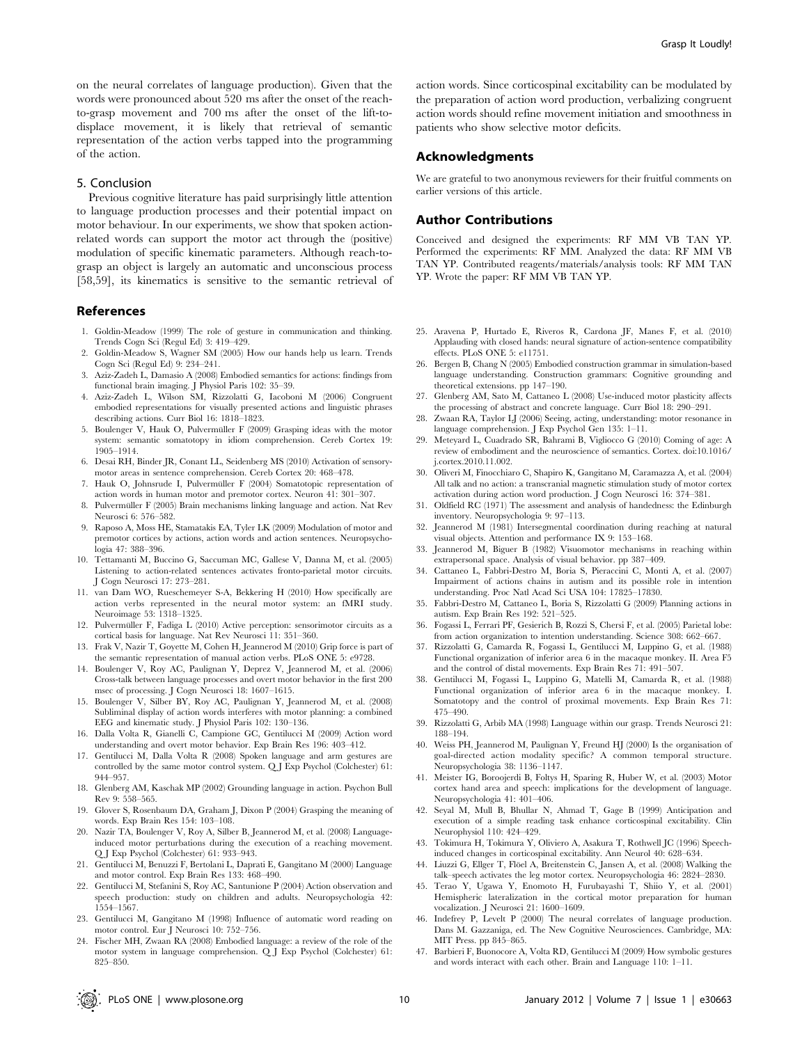on the neural correlates of language production). Given that the words were pronounced about 520 ms after the onset of the reachto-grasp movement and 700 ms after the onset of the lift-todisplace movement, it is likely that retrieval of semantic representation of the action verbs tapped into the programming of the action.

## 5. Conclusion

Previous cognitive literature has paid surprisingly little attention to language production processes and their potential impact on motor behaviour. In our experiments, we show that spoken actionrelated words can support the motor act through the (positive) modulation of specific kinematic parameters. Although reach-tograsp an object is largely an automatic and unconscious process [58,59], its kinematics is sensitive to the semantic retrieval of

#### References

- 1. Goldin-Meadow (1999) The role of gesture in communication and thinking. Trends Cogn Sci (Regul Ed) 3: 419–429.
- 2. Goldin-Meadow S, Wagner SM (2005) How our hands help us learn. Trends Cogn Sci (Regul Ed) 9: 234–241.
- 3. Aziz-Zadeh L, Damasio A (2008) Embodied semantics for actions: findings from functional brain imaging. J Physiol Paris 102: 35–39.
- 4. Aziz-Zadeh L, Wilson SM, Rizzolatti G, Iacoboni M (2006) Congruent embodied representations for visually presented actions and linguistic phrases describing actions. Curr Biol 16: 1818–1823.
- 5. Boulenger V, Hauk O, Pulvermüller F (2009) Grasping ideas with the motor system: semantic somatotopy in idiom comprehension. Cereb Cortex 19: 1905–1914.
- 6. Desai RH, Binder JR, Conant LL, Seidenberg MS (2010) Activation of sensorymotor areas in sentence comprehension. Cereb Cortex 20: 468–478.
- 7. Hauk O, Johnsrude I, Pulvermüller F (2004) Somatotopic representation of action words in human motor and premotor cortex. Neuron 41: 301–307.
- 8. Pulvermüller F (2005) Brain mechanisms linking language and action. Nat Rev Neurosci 6: 576–582.
- 9. Raposo A, Moss HE, Stamatakis EA, Tyler LK (2009) Modulation of motor and premotor cortices by actions, action words and action sentences. Neuropsychologia 47: 388–396.
- 10. Tettamanti M, Buccino G, Saccuman MC, Gallese V, Danna M, et al. (2005) Listening to action-related sentences activates fronto-parietal motor circuits. J Cogn Neurosci 17: 273–281.
- 11. van Dam WO, Rueschemeyer S-A, Bekkering H (2010) How specifically are action verbs represented in the neural motor system: an fMRI study. Neuroimage 53: 1318–1325.
- 12. Pulvermüller F, Fadiga L (2010) Active perception: sensorimotor circuits as a cortical basis for language. Nat Rev Neurosci 11: 351–360.
- 13. Frak V, Nazir T, Goyette M, Cohen H, Jeannerod M (2010) Grip force is part of the semantic representation of manual action verbs. PLoS ONE 5: e9728.
- 14. Boulenger V, Roy AC, Paulignan Y, Deprez V, Jeannerod M, et al. (2006) Cross-talk between language processes and overt motor behavior in the first 200 msec of processing. J Cogn Neurosci 18: 1607–1615.
- 15. Boulenger V, Silber BY, Roy AC, Paulignan Y, Jeannerod M, et al. (2008) Subliminal display of action words interferes with motor planning: a combined EEG and kinematic study. J Physiol Paris 102: 130–136.
- 16. Dalla Volta R, Gianelli C, Campione GC, Gentilucci M (2009) Action word understanding and overt motor behavior. Exp Brain Res 196: 403–412.
- 17. Gentilucci M, Dalla Volta R (2008) Spoken language and arm gestures are controlled by the same motor control system.  $\operatorname{QJ}$  Exp Psychol (Colchester)  $61:$ 944–957.
- 18. Glenberg AM, Kaschak MP (2002) Grounding language in action. Psychon Bull Rev 9: 558–565.
- 19. Glover S, Rosenbaum DA, Graham J, Dixon P (2004) Grasping the meaning of words. Exp Brain Res 154: 103–108.
- 20. Nazir TA, Boulenger V, Roy A, Silber B, Jeannerod M, et al. (2008) Languageinduced motor perturbations during the execution of a reaching movement. Q J Exp Psychol (Colchester) 61: 933–943.
- 21. Gentilucci M, Benuzzi F, Bertolani L, Daprati E, Gangitano M (2000) Language and motor control. Exp Brain Res 133: 468–490.
- 22. Gentilucci M, Stefanini S, Roy AC, Santunione P (2004) Action observation and speech production: study on children and adults. Neuropsychologia 42: 1554–1567.
- 23. Gentilucci M, Gangitano M (1998) Influence of automatic word reading on motor control. Eur J Neurosci 10: 752–756.
- 24. Fischer MH, Zwaan RA (2008) Embodied language: a review of the role of the motor system in language comprehension. Q J Exp Psychol (Colchester) 61: 825–850.

action words. Since corticospinal excitability can be modulated by the preparation of action word production, verbalizing congruent action words should refine movement initiation and smoothness in patients who show selective motor deficits.

## Acknowledgments

We are grateful to two anonymous reviewers for their fruitful comments on earlier versions of this article.

#### Author Contributions

Conceived and designed the experiments: RF MM VB TAN YP. Performed the experiments: RF MM. Analyzed the data: RF MM VB TAN YP. Contributed reagents/materials/analysis tools: RF MM TAN YP. Wrote the paper: RF MM VB TAN YP.

- 25. Aravena P, Hurtado E, Riveros R, Cardona JF, Manes F, et al. (2010) Applauding with closed hands: neural signature of action-sentence compatibility effects. PLoS ONE 5: e11751.
- 26. Bergen B, Chang N (2005) Embodied construction grammar in simulation-based language understanding. Construction grammars: Cognitive grounding and theoretical extensions. pp 147–190.
- 27. Glenberg AM, Sato M, Cattaneo L (2008) Use-induced motor plasticity affects the processing of abstract and concrete language. Curr Biol 18: 290–291.
- 28. Zwaan RA, Taylor LJ (2006) Seeing, acting, understanding: motor resonance in language comprehension. J Exp Psychol Gen 135: 1–11.
- 29. Meteyard L, Cuadrado SR, Bahrami B, Vigliocco G (2010) Coming of age: A review of embodiment and the neuroscience of semantics. Cortex. doi:10.1016/ j.cortex.2010.11.002.
- 30. Oliveri M, Finocchiaro C, Shapiro K, Gangitano M, Caramazza A, et al. (2004) All talk and no action: a transcranial magnetic stimulation study of motor cortex activation during action word production. J Cogn Neurosci 16: 374–381.
- 31. Oldfield RC (1971) The assessment and analysis of handedness: the Edinburgh inventory. Neuropsychologia 9: 97–113.
- 32. Jeannerod M (1981) Intersegmental coordination during reaching at natural visual objects. Attention and performance IX 9: 153–168.
- 33. Jeannerod M, Biguer B (1982) Visuomotor mechanisms in reaching within extrapersonal space. Analysis of visual behavior. pp 387–409.
- 34. Cattaneo L, Fabbri-Destro M, Boria S, Pieraccini C, Monti A, et al. (2007) Impairment of actions chains in autism and its possible role in intention understanding. Proc Natl Acad Sci USA 104: 17825–17830.
- 35. Fabbri-Destro M, Cattaneo L, Boria S, Rizzolatti G (2009) Planning actions in autism. Exp Brain Res 192: 521–525.
- 36. Fogassi L, Ferrari PF, Gesierich B, Rozzi S, Chersi F, et al. (2005) Parietal lobe: from action organization to intention understanding. Science 308: 662–667.
- 37. Rizzolatti G, Camarda R, Fogassi L, Gentilucci M, Luppino G, et al. (1988) Functional organization of inferior area 6 in the macaque monkey. II. Area F5 and the control of distal movements. Exp Brain Res 71: 491–507.
- 38. Gentilucci M, Fogassi L, Luppino G, Matelli M, Camarda R, et al. (1988) Functional organization of inferior area 6 in the macaque monkey. I. Somatotopy and the control of proximal movements. Exp Brain Res 71: 475–490.
- 39. Rizzolatti G, Arbib MA (1998) Language within our grasp. Trends Neurosci 21: 188–194.
- 40. Weiss PH, Jeannerod M, Paulignan Y, Freund HJ (2000) Is the organisation of goal-directed action modality specific? A common temporal structure. Neuropsychologia 38: 1136–1147.
- 41. Meister IG, Boroojerdi B, Foltys H, Sparing R, Huber W, et al. (2003) Motor cortex hand area and speech: implications for the development of language. Neuropsychologia 41: 401–406.
- 42. Seyal M, Mull B, Bhullar N, Ahmad T, Gage B (1999) Anticipation and execution of a simple reading task enhance corticospinal excitability. Clin Neurophysiol 110: 424–429.
- 43. Tokimura H, Tokimura Y, Oliviero A, Asakura T, Rothwell JC (1996) Speechinduced changes in corticospinal excitability. Ann Neurol 40: 628–634.
- 44. Liuzzi G, Ellger T, Flöel A, Breitenstein C, Jansen A, et al. (2008) Walking the talk–speech activates the leg motor cortex. Neuropsychologia 46: 2824–2830.
- 45. Terao Y, Ugawa Y, Enomoto H, Furubayashi T, Shiio Y, et al. (2001) Hemispheric lateralization in the cortical motor preparation for human vocalization. J Neurosci 21: 1600–1609.
- 46. Indefrey P, Levelt P (2000) The neural correlates of language production. Dans M. Gazzaniga, ed. The New Cognitive Neurosciences. Cambridge, MA: MIT Press. pp 845–865.
- 47. Barbieri F, Buonocore A, Volta RD, Gentilucci M (2009) How symbolic gestures and words interact with each other. Brain and Language 110: 1–11.